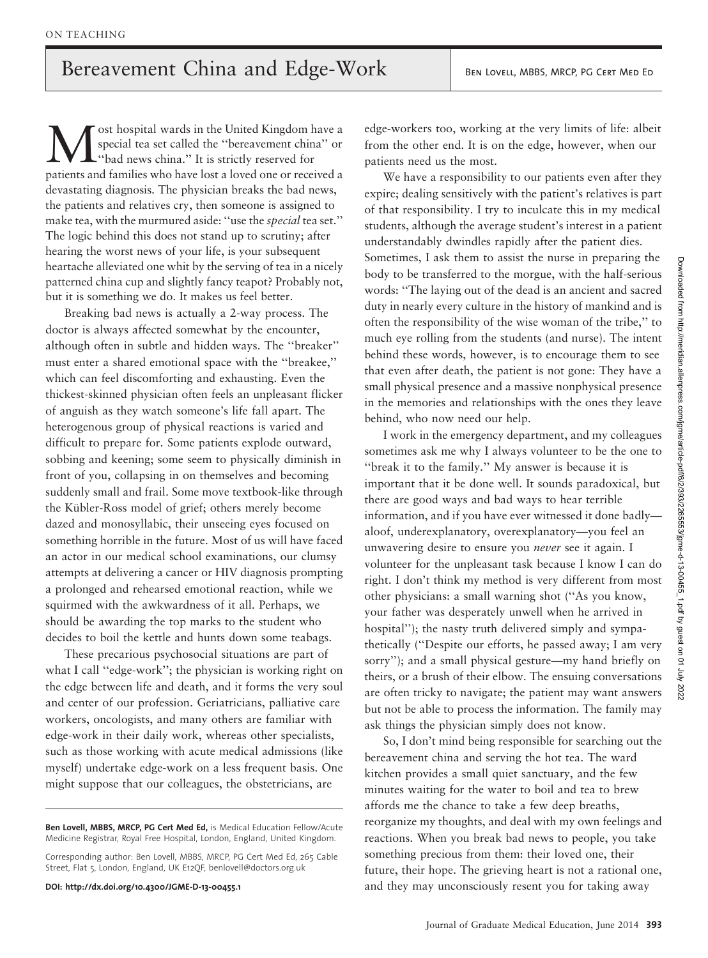ost hospital wards in the United Kingdom have a special tea set called the ''bereavement china'' or ''bad news china.'' It is strictly reserved for patients and families who have lost a loved one or received a devastating diagnosis. The physician breaks the bad news, the patients and relatives cry, then someone is assigned to make tea, with the murmured aside: ''use the special tea set.'' The logic behind this does not stand up to scrutiny; after hearing the worst news of your life, is your subsequent heartache alleviated one whit by the serving of tea in a nicely patterned china cup and slightly fancy teapot? Probably not, but it is something we do. It makes us feel better.

Breaking bad news is actually a 2-way process. The doctor is always affected somewhat by the encounter, although often in subtle and hidden ways. The ''breaker'' must enter a shared emotional space with the ''breakee,'' which can feel discomforting and exhausting. Even the thickest-skinned physician often feels an unpleasant flicker of anguish as they watch someone's life fall apart. The heterogenous group of physical reactions is varied and difficult to prepare for. Some patients explode outward, sobbing and keening; some seem to physically diminish in front of you, collapsing in on themselves and becoming suddenly small and frail. Some move textbook-like through the Kübler-Ross model of grief; others merely become dazed and monosyllabic, their unseeing eyes focused on something horrible in the future. Most of us will have faced an actor in our medical school examinations, our clumsy attempts at delivering a cancer or HIV diagnosis prompting a prolonged and rehearsed emotional reaction, while we squirmed with the awkwardness of it all. Perhaps, we should be awarding the top marks to the student who decides to boil the kettle and hunts down some teabags.

These precarious psychosocial situations are part of what I call ''edge-work''; the physician is working right on the edge between life and death, and it forms the very soul and center of our profession. Geriatricians, palliative care workers, oncologists, and many others are familiar with edge-work in their daily work, whereas other specialists, such as those working with acute medical admissions (like myself) undertake edge-work on a less frequent basis. One might suppose that our colleagues, the obstetricians, are

Ben Lovell, MBBS, MRCP, PG Cert Med Ed, is Medical Education Fellow/Acute Medicine Registrar, Royal Free Hospital, London, England, United Kingdom.

Corresponding author: Ben Lovell, MBBS, MRCP, PG Cert Med Ed, 265 Cable Street, Flat 5, London, England, UK E12QF, benlovell@doctors.org.uk

DOI: http://dx.doi.org/10.4300/JGME-D-13-00455.1

edge-workers too, working at the very limits of life: albeit from the other end. It is on the edge, however, when our patients need us the most.

We have a responsibility to our patients even after they expire; dealing sensitively with the patient's relatives is part of that responsibility. I try to inculcate this in my medical students, although the average student's interest in a patient understandably dwindles rapidly after the patient dies. Sometimes, I ask them to assist the nurse in preparing the body to be transferred to the morgue, with the half-serious words: ''The laying out of the dead is an ancient and sacred duty in nearly every culture in the history of mankind and is often the responsibility of the wise woman of the tribe,'' to much eye rolling from the students (and nurse). The intent behind these words, however, is to encourage them to see that even after death, the patient is not gone: They have a small physical presence and a massive nonphysical presence in the memories and relationships with the ones they leave behind, who now need our help.

I work in the emergency department, and my colleagues sometimes ask me why I always volunteer to be the one to ''break it to the family.'' My answer is because it is important that it be done well. It sounds paradoxical, but there are good ways and bad ways to hear terrible information, and if you have ever witnessed it done badly aloof, underexplanatory, overexplanatory—you feel an unwavering desire to ensure you never see it again. I volunteer for the unpleasant task because I know I can do right. I don't think my method is very different from most other physicians: a small warning shot (''As you know, your father was desperately unwell when he arrived in hospital''); the nasty truth delivered simply and sympathetically (''Despite our efforts, he passed away; I am very sorry''); and a small physical gesture—my hand briefly on theirs, or a brush of their elbow. The ensuing conversations are often tricky to navigate; the patient may want answers but not be able to process the information. The family may ask things the physician simply does not know.

So, I don't mind being responsible for searching out the bereavement china and serving the hot tea. The ward kitchen provides a small quiet sanctuary, and the few minutes waiting for the water to boil and tea to brew affords me the chance to take a few deep breaths, reorganize my thoughts, and deal with my own feelings and reactions. When you break bad news to people, you take something precious from them: their loved one, their future, their hope. The grieving heart is not a rational one, and they may unconsciously resent you for taking away